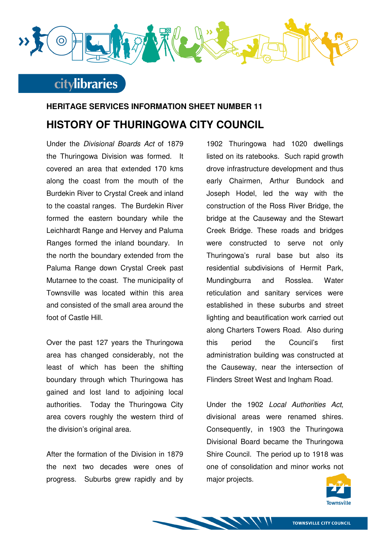

## **HERITAGE SERVICES INFORMATION SHEET NUMBER 11 HISTORY OF THURINGOWA CITY COUNCIL**

Under the Divisional Boards Act of 1879 the Thuringowa Division was formed. It covered an area that extended 170 kms along the coast from the mouth of the Burdekin River to Crystal Creek and inland to the coastal ranges. The Burdekin River formed the eastern boundary while the Leichhardt Range and Hervey and Paluma Ranges formed the inland boundary. In the north the boundary extended from the Paluma Range down Crystal Creek past Mutarnee to the coast. The municipality of Townsville was located within this area and consisted of the small area around the foot of Castle Hill.

Over the past 127 years the Thuringowa area has changed considerably, not the least of which has been the shifting boundary through which Thuringowa has gained and lost land to adjoining local authorities. Today the Thuringowa City area covers roughly the western third of the division's original area.

After the formation of the Division in 1879 the next two decades were ones of progress. Suburbs grew rapidly and by 1902 Thuringowa had 1020 dwellings listed on its ratebooks. Such rapid growth drove infrastructure development and thus early Chairmen, Arthur Bundock and Joseph Hodel, led the way with the construction of the Ross River Bridge, the bridge at the Causeway and the Stewart Creek Bridge. These roads and bridges were constructed to serve not only Thuringowa's rural base but also its residential subdivisions of Hermit Park, Mundingburra and Rosslea. Water reticulation and sanitary services were established in these suburbs and street lighting and beautification work carried out along Charters Towers Road. Also during this period the Council's first administration building was constructed at the Causeway, near the intersection of Flinders Street West and Ingham Road.

Under the 1902 Local Authorities Act, divisional areas were renamed shires. Consequently, in 1903 the Thuringowa Divisional Board became the Thuringowa Shire Council. The period up to 1918 was one of consolidation and minor works not major projects.

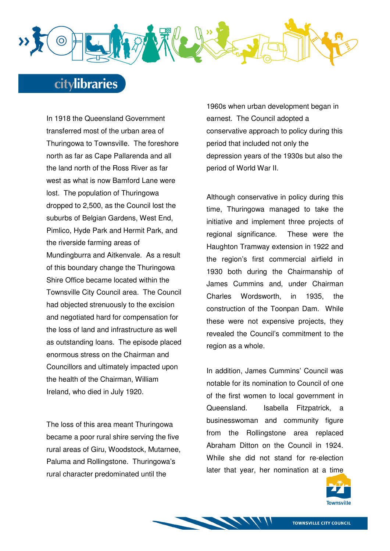

In 1918 the Queensland Government transferred most of the urban area of Thuringowa to Townsville. The foreshore north as far as Cape Pallarenda and all the land north of the Ross River as far west as what is now Bamford Lane were lost. The population of Thuringowa dropped to 2,500, as the Council lost the suburbs of Belgian Gardens, West End, Pimlico, Hyde Park and Hermit Park, and the riverside farming areas of Mundingburra and Aitkenvale. As a result of this boundary change the Thuringowa Shire Office became located within the Townsville City Council area. The Council had objected strenuously to the excision and negotiated hard for compensation for the loss of land and infrastructure as well as outstanding loans. The episode placed enormous stress on the Chairman and Councillors and ultimately impacted upon the health of the Chairman, William Ireland, who died in July 1920.

The loss of this area meant Thuringowa became a poor rural shire serving the five rural areas of Giru, Woodstock, Mutarnee, Paluma and Rollingstone. Thuringowa's rural character predominated until the

1960s when urban development began in earnest. The Council adopted a conservative approach to policy during this period that included not only the depression years of the 1930s but also the period of World War II.

Although conservative in policy during this time, Thuringowa managed to take the initiative and implement three projects of regional significance. These were the Haughton Tramway extension in 1922 and the region's first commercial airfield in 1930 both during the Chairmanship of James Cummins and, under Chairman Charles Wordsworth, in 1935, the construction of the Toonpan Dam. While these were not expensive projects, they revealed the Council's commitment to the region as a whole.

In addition, James Cummins' Council was notable for its nomination to Council of one of the first women to local government in Queensland. Isabella Fitzpatrick, a businesswoman and community figure from the Rollingstone area replaced Abraham Ditton on the Council in 1924. While she did not stand for re-election later that year, her nomination at a time

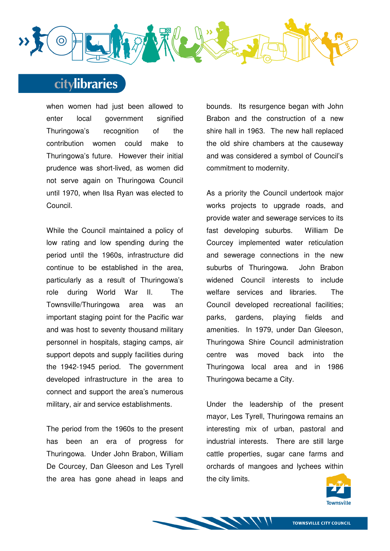

when women had just been allowed to enter local government signified Thuringowa's recognition of the contribution women could make to Thuringowa's future. However their initial prudence was short-lived, as women did not serve again on Thuringowa Council until 1970, when Ilsa Ryan was elected to Council.

While the Council maintained a policy of low rating and low spending during the period until the 1960s, infrastructure did continue to be established in the area, particularly as a result of Thuringowa's role during World War II. The Townsville/Thuringowa area was an important staging point for the Pacific war and was host to seventy thousand military personnel in hospitals, staging camps, air support depots and supply facilities during the 1942-1945 period. The government developed infrastructure in the area to connect and support the area's numerous military, air and service establishments.

The period from the 1960s to the present has been an era of progress for Thuringowa. Under John Brabon, William De Courcey, Dan Gleeson and Les Tyrell the area has gone ahead in leaps and bounds. Its resurgence began with John Brabon and the construction of a new shire hall in 1963. The new hall replaced the old shire chambers at the causeway and was considered a symbol of Council's commitment to modernity.

As a priority the Council undertook major works projects to upgrade roads, and provide water and sewerage services to its fast developing suburbs. William De Courcey implemented water reticulation and sewerage connections in the new suburbs of Thuringowa. John Brabon widened Council interests to include welfare services and libraries. The Council developed recreational facilities; parks, gardens, playing fields and amenities. In 1979, under Dan Gleeson, Thuringowa Shire Council administration centre was moved back into the Thuringowa local area and in 1986 Thuringowa became a City.

Under the leadership of the present mayor, Les Tyrell, Thuringowa remains an interesting mix of urban, pastoral and industrial interests. There are still large cattle properties, sugar cane farms and orchards of mangoes and lychees within the city limits.